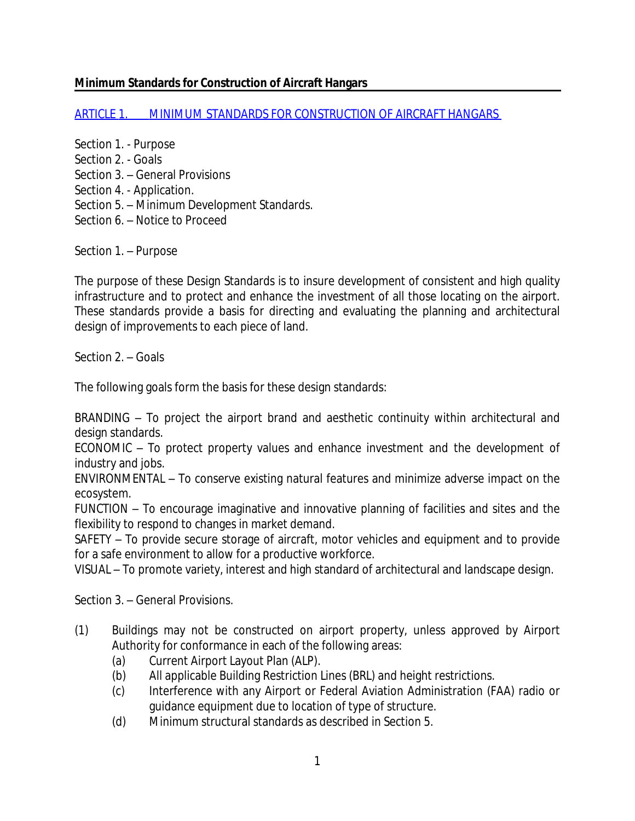## **Minimum Standards for Construction of Aircraft Hangars**

[ARTICLE 1. MINIMUM STANDARDS FOR CONSTRUCTION OF AIRCRAFT HANGARS](http://library.municode.com/HTML/11333/level3/PTIICOOR_CH10AV_ARTIVAIHAZO.html) 

- Section 1. Purpose
- Section 2. Goals
- Section 3. General Provisions
- Section 4. Application.
- Section 5. Minimum Development Standards.
- Section 6. Notice to Proceed

Section 1. – Purpose

The purpose of these Design Standards is to insure development of consistent and high quality infrastructure and to protect and enhance the investment of all those locating on the airport. These standards provide a basis for directing and evaluating the planning and architectural design of improvements to each piece of land.

Section 2. – Goals

The following goals form the basis for these design standards:

*BRANDING* – To project the airport brand and aesthetic continuity within architectural and design standards.

*ECONOMIC* – To protect property values and enhance investment and the development of industry and jobs.

*ENVIRONMENTAL* – To conserve existing natural features and minimize adverse impact on the ecosystem.

*FUNCTION* – To encourage imaginative and innovative planning of facilities and sites and the flexibility to respond to changes in market demand.

*SAFETY –* To provide secure storage of aircraft, motor vehicles and equipment and to provide for a safe environment to allow for a productive workforce.

*VISUAL* – To promote variety, interest and high standard of architectural and landscape design.

Section 3. – General Provisions.

- (1) Buildings may not be constructed on airport property, unless approved by Airport Authority for conformance in each of the following areas:
	- (a) Current Airport Layout Plan (ALP).
	- (b) All applicable Building Restriction Lines (BRL) and height restrictions.
	- (c) Interference with any Airport or Federal Aviation Administration (FAA) radio or guidance equipment due to location of type of structure.
	- (d) Minimum structural standards as described in Section 5.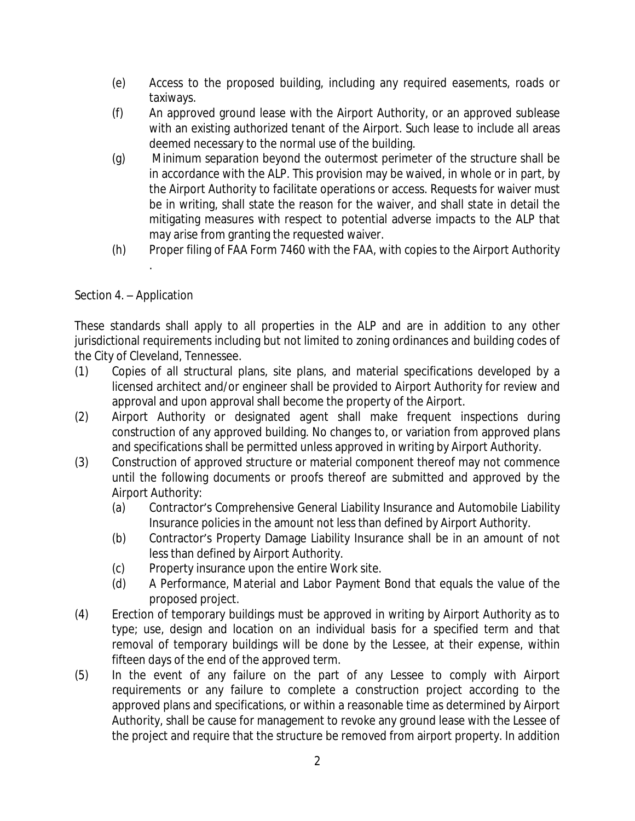- (e) Access to the proposed building, including any required easements, roads or taxiways.
- (f) An approved ground lease with the Airport Authority, or an approved sublease with an existing authorized tenant of the Airport. Such lease to include all areas deemed necessary to the normal use of the building.
- (g) Minimum separation beyond the outermost perimeter of the structure shall be in accordance with the ALP. This provision may be waived, in whole or in part, by the Airport Authority to facilitate operations or access. Requests for waiver must be in writing, shall state the reason for the waiver, and shall state in detail the mitigating measures with respect to potential adverse impacts to the ALP that may arise from granting the requested waiver.
- (h) Proper filing of FAA Form 7460 with the FAA, with copies to the Airport Authority .

## Section 4. – Application

These standards shall apply to all properties in the ALP and are in addition to any other jurisdictional requirements including but not limited to zoning ordinances and building codes of the City of Cleveland, Tennessee.

- (1) Copies of all structural plans, site plans, and material specifications developed by a licensed architect and/or engineer shall be provided to Airport Authority for review and approval and upon approval shall become the property of the Airport.
- (2) Airport Authority or designated agent shall make frequent inspections during construction of any approved building. No changes to, or variation from approved plans and specifications shall be permitted unless approved in writing by Airport Authority.
- (3) Construction of approved structure or material component thereof may not commence until the following documents or proofs thereof are submitted and approved by the Airport Authority:
	- (a) Contractor's Comprehensive General Liability Insurance and Automobile Liability Insurance policies in the amount not less than defined by Airport Authority.
	- (b) Contractor's Property Damage Liability Insurance shall be in an amount of not less than defined by Airport Authority.
	- (c) Property insurance upon the entire Work site.
	- (d) A Performance, Material and Labor Payment Bond that equals the value of the proposed project.
- (4) Erection of temporary buildings must be approved in writing by Airport Authority as to type; use, design and location on an individual basis for a specified term and that removal of temporary buildings will be done by the Lessee, at their expense, within fifteen days of the end of the approved term.
- (5) In the event of any failure on the part of any Lessee to comply with Airport requirements or any failure to complete a construction project according to the approved plans and specifications, or within a reasonable time as determined by Airport Authority, shall be cause for management to revoke any ground lease with the Lessee of the project and require that the structure be removed from airport property. In addition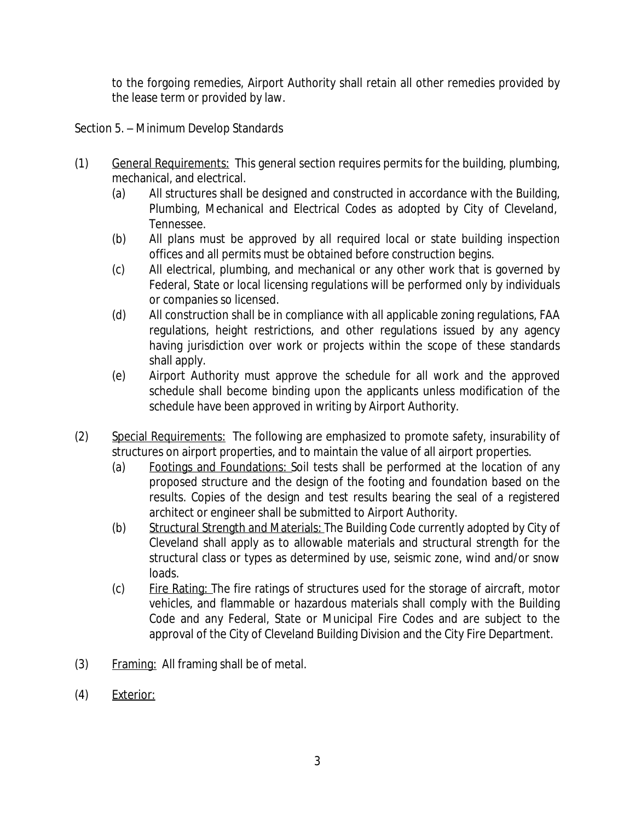to the forgoing remedies, Airport Authority shall retain all other remedies provided by the lease term or provided by law.

Section 5. – Minimum Develop Standards

- (1) General Requirements: This general section requires permits for the building, plumbing, mechanical, and electrical.
	- (a) All structures shall be designed and constructed in accordance with the Building, Plumbing, Mechanical and Electrical Codes as adopted by City of Cleveland, Tennessee.
	- (b) All plans must be approved by all required local or state building inspection offices and all permits must be obtained before construction begins.
	- (c) All electrical, plumbing, and mechanical or any other work that is governed by Federal, State or local licensing regulations will be performed only by individuals or companies so licensed.
	- (d) All construction shall be in compliance with all applicable zoning regulations, FAA regulations, height restrictions, and other regulations issued by any agency having jurisdiction over work or projects within the scope of these standards shall apply.
	- (e) Airport Authority must approve the schedule for all work and the approved schedule shall become binding upon the applicants unless modification of the schedule have been approved in writing by Airport Authority.
- (2) Special Requirements: The following are emphasized to promote safety, insurability of structures on airport properties, and to maintain the value of all airport properties.
	- (a) Footings and Foundations: Soil tests shall be performed at the location of any proposed structure and the design of the footing and foundation based on the results. Copies of the design and test results bearing the seal of a registered architect or engineer shall be submitted to Airport Authority.
	- (b) Structural Strength and Materials: The Building Code currently adopted by City of Cleveland shall apply as to allowable materials and structural strength for the structural class or types as determined by use, seismic zone, wind and/or snow loads.
	- (c) Fire Rating: The fire ratings of structures used for the storage of aircraft, motor vehicles, and flammable or hazardous materials shall comply with the Building Code and any Federal, State or Municipal Fire Codes and are subject to the approval of the City of Cleveland Building Division and the City Fire Department.
- (3) Framing: All framing shall be of metal.
- (4) Exterior: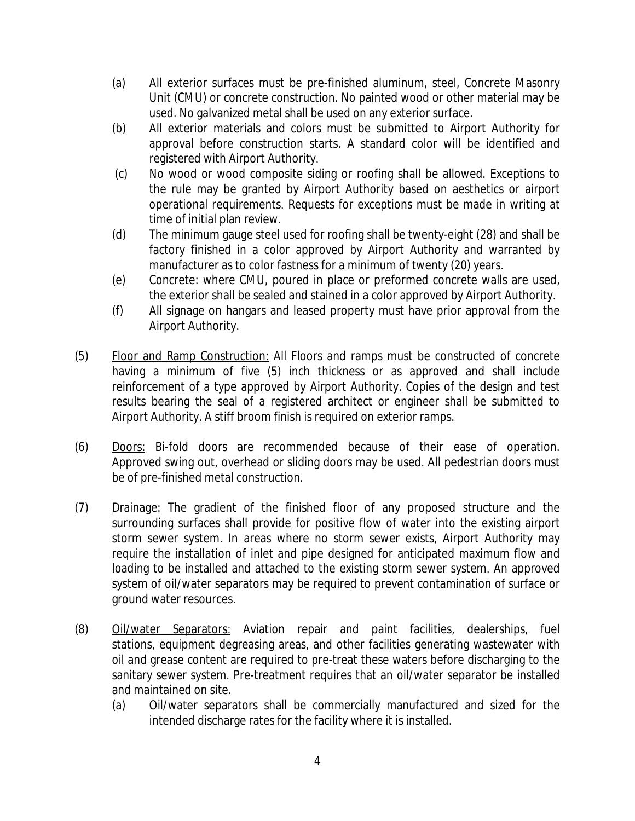- (a) All exterior surfaces must be pre-finished aluminum, steel, Concrete Masonry Unit (CMU) or concrete construction. No painted wood or other material may be used. No galvanized metal shall be used on any exterior surface.
- (b) All exterior materials and colors must be submitted to Airport Authority for approval before construction starts. A standard color will be identified and registered with Airport Authority.
- (c) No wood or wood composite siding or roofing shall be allowed. Exceptions to the rule may be granted by Airport Authority based on aesthetics or airport operational requirements. Requests for exceptions must be made in writing at time of initial plan review.
- (d) The minimum gauge steel used for roofing shall be twenty-eight (28) and shall be factory finished in a color approved by Airport Authority and warranted by manufacturer as to color fastness for a minimum of twenty (20) years.
- (e) Concrete: where CMU, poured in place or preformed concrete walls are used, the exterior shall be sealed and stained in a color approved by Airport Authority.
- (f) All signage on hangars and leased property must have prior approval from the Airport Authority.
- (5) Floor and Ramp Construction: All Floors and ramps must be constructed of concrete having a minimum of five (5) inch thickness or as approved and shall include reinforcement of a type approved by Airport Authority. Copies of the design and test results bearing the seal of a registered architect or engineer shall be submitted to Airport Authority. A stiff broom finish is required on exterior ramps.
- (6) Doors: Bi-fold doors are recommended because of their ease of operation. Approved swing out, overhead or sliding doors may be used. All pedestrian doors must be of pre-finished metal construction.
- (7) Drainage: The gradient of the finished floor of any proposed structure and the surrounding surfaces shall provide for positive flow of water into the existing airport storm sewer system. In areas where no storm sewer exists, Airport Authority may require the installation of inlet and pipe designed for anticipated maximum flow and loading to be installed and attached to the existing storm sewer system. An approved system of oil/water separators may be required to prevent contamination of surface or ground water resources.
- (8) Oil/water Separators: Aviation repair and paint facilities, dealerships, fuel stations, equipment degreasing areas, and other facilities generating wastewater with oil and grease content are required to pre-treat these waters before discharging to the sanitary sewer system. Pre-treatment requires that an oil/water separator be installed and maintained on site.
	- (a) Oil/water separators shall be commercially manufactured and sized for the intended discharge rates for the facility where it is installed.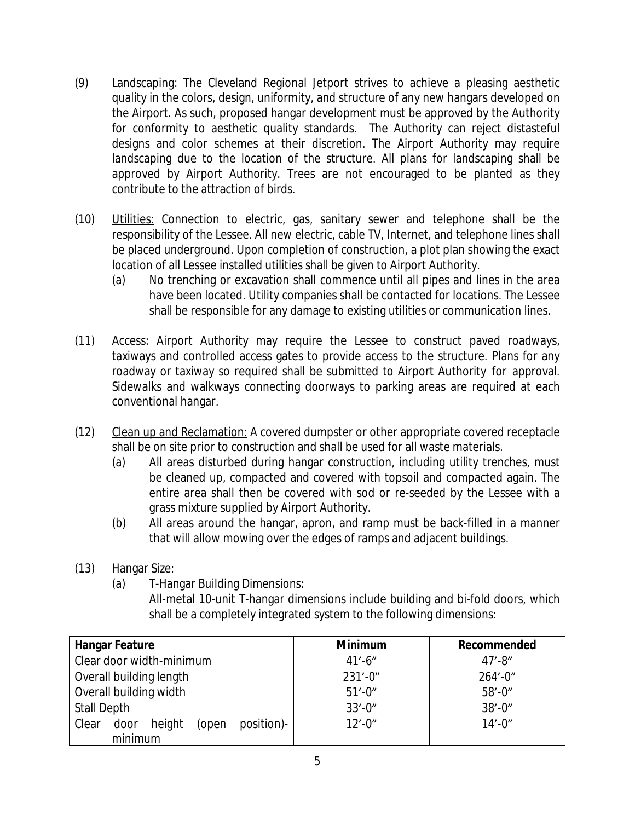- (9) Landscaping: The Cleveland Regional Jetport strives to achieve a pleasing aesthetic quality in the colors, design, uniformity, and structure of any new hangars developed on the Airport. As such, proposed hangar development must be approved by the Authority for conformity to aesthetic quality standards. The Authority can reject distasteful designs and color schemes at their discretion. The Airport Authority may require landscaping due to the location of the structure. All plans for landscaping shall be approved by Airport Authority. Trees are not encouraged to be planted as they contribute to the attraction of birds.
- (10) Utilities: Connection to electric, gas, sanitary sewer and telephone shall be the responsibility of the Lessee. All new electric, cable TV, Internet, and telephone lines shall be placed underground. Upon completion of construction, a plot plan showing the exact location of all Lessee installed utilities shall be given to Airport Authority.
	- (a) No trenching or excavation shall commence until all pipes and lines in the area have been located. Utility companies shall be contacted for locations. The Lessee shall be responsible for any damage to existing utilities or communication lines.
- (11) Access: Airport Authority may require the Lessee to construct paved roadways, taxiways and controlled access gates to provide access to the structure. Plans for any roadway or taxiway so required shall be submitted to Airport Authority for approval. Sidewalks and walkways connecting doorways to parking areas are required at each conventional hangar.
- (12) Clean up and Reclamation: A covered dumpster or other appropriate covered receptacle shall be on site prior to construction and shall be used for all waste materials.
	- (a) All areas disturbed during hangar construction, including utility trenches, must be cleaned up, compacted and covered with topsoil and compacted again. The entire area shall then be covered with sod or re-seeded by the Lessee with a grass mixture supplied by Airport Authority.
	- (b) All areas around the hangar, apron, and ramp must be back-filled in a manner that will allow mowing over the edges of ramps and adjacent buildings.
- (13) Hangar Size:
	- (a) T-Hangar Building Dimensions:

All-metal 10-unit T-hangar dimensions include building and bi-fold doors, which shall be a completely integrated system to the following dimensions:

| <b>Hangar Feature</b>                                     | <b>Minimum</b> | Recommended  |
|-----------------------------------------------------------|----------------|--------------|
| Clear door width-minimum                                  | $41' - 6''$    | $47' - 8''$  |
| Overall building length                                   | $231' - 0''$   | $264' - 0''$ |
| Overall building width                                    | $51' - 0''$    | $58' - 0''$  |
| <b>Stall Depth</b>                                        | $33' - 0''$    | $38' - 0''$  |
| position)-<br>height<br>Clear<br>door<br>(open<br>minimum | $12'$ -0"      | $14' - 0''$  |